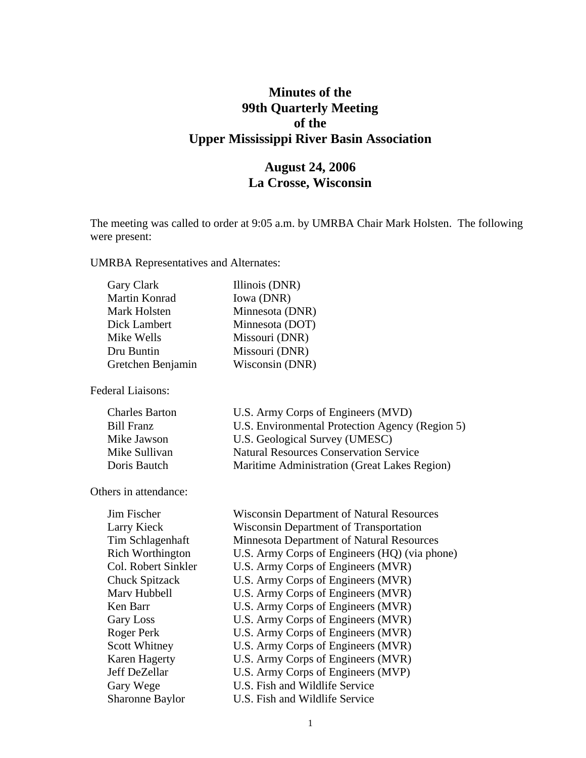# **Minutes of the 99th Quarterly Meeting of the Upper Mississippi River Basin Association**

# **August 24, 2006 La Crosse, Wisconsin**

The meeting was called to order at 9:05 a.m. by UMRBA Chair Mark Holsten. The following were present:

UMRBA Representatives and Alternates:

| Illinois (DNR)  |
|-----------------|
| Iowa (DNR)      |
| Minnesota (DNR) |
| Minnesota (DOT) |
| Missouri (DNR)  |
| Missouri (DNR)  |
| Wisconsin (DNR) |
|                 |

Federal Liaisons:

| Charles Barton | U.S. Army Corps of Engineers (MVD)              |
|----------------|-------------------------------------------------|
| Bill Franz     | U.S. Environmental Protection Agency (Region 5) |
| Mike Jawson    | U.S. Geological Survey (UMESC)                  |
| Mike Sullivan  | <b>Natural Resources Conservation Service</b>   |
| Doris Bautch   | Maritime Administration (Great Lakes Region)    |
|                |                                                 |

Others in attendance:

| Jim Fischer             | <b>Wisconsin Department of Natural Resources</b> |
|-------------------------|--------------------------------------------------|
| Larry Kieck             | <b>Wisconsin Department of Transportation</b>    |
| Tim Schlagenhaft        | <b>Minnesota Department of Natural Resources</b> |
| <b>Rich Worthington</b> | U.S. Army Corps of Engineers (HQ) (via phone)    |
| Col. Robert Sinkler     | U.S. Army Corps of Engineers (MVR)               |
| Chuck Spitzack          | U.S. Army Corps of Engineers (MVR)               |
| Marv Hubbell            | U.S. Army Corps of Engineers (MVR)               |
| Ken Barr                | U.S. Army Corps of Engineers (MVR)               |
| <b>Gary Loss</b>        | U.S. Army Corps of Engineers (MVR)               |
| Roger Perk              | U.S. Army Corps of Engineers (MVR)               |
| Scott Whitney           | U.S. Army Corps of Engineers (MVR)               |
| Karen Hagerty           | U.S. Army Corps of Engineers (MVR)               |
| Jeff DeZellar           | U.S. Army Corps of Engineers (MVP)               |
| Gary Wege               | U.S. Fish and Wildlife Service                   |
| <b>Sharonne Baylor</b>  | U.S. Fish and Wildlife Service                   |
|                         |                                                  |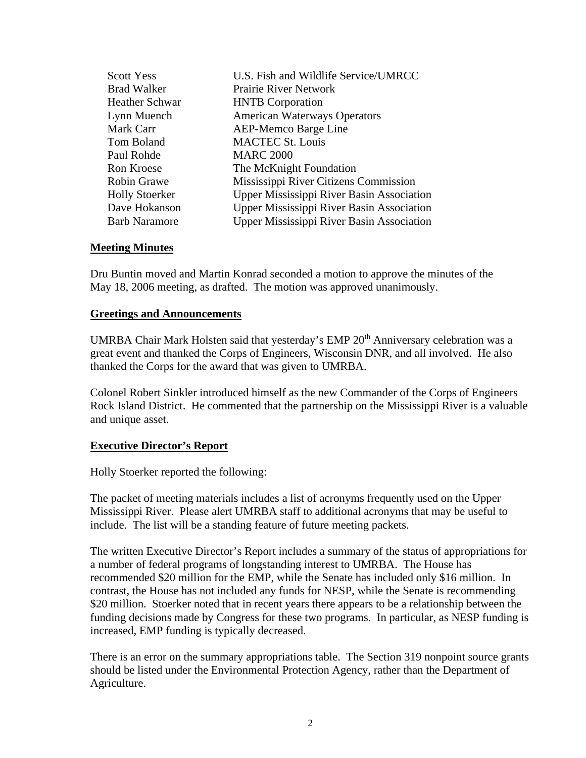| <b>Scott Yess</b>     | U.S. Fish and Wildlife Service/UMRCC             |
|-----------------------|--------------------------------------------------|
| <b>Brad Walker</b>    | <b>Prairie River Network</b>                     |
| <b>Heather Schwar</b> | <b>HNTB</b> Corporation                          |
| Lynn Muench           | <b>American Waterways Operators</b>              |
| Mark Carr             | <b>AEP-Memco Barge Line</b>                      |
| Tom Boland            | <b>MACTEC St. Louis</b>                          |
| Paul Rohde            | <b>MARC 2000</b>                                 |
| Ron Kroese            | The McKnight Foundation                          |
| <b>Robin Grawe</b>    | Mississippi River Citizens Commission            |
| <b>Holly Stoerker</b> | <b>Upper Mississippi River Basin Association</b> |
| Dave Hokanson         | <b>Upper Mississippi River Basin Association</b> |
| <b>Barb Naramore</b>  | <b>Upper Mississippi River Basin Association</b> |

#### **Meeting Minutes**

Dru Buntin moved and Martin Konrad seconded a motion to approve the minutes of the May 18, 2006 meeting, as drafted. The motion was approved unanimously.

#### **Greetings and Announcements**

UMRBA Chair Mark Holsten said that yesterday's EMP 20<sup>th</sup> Anniversary celebration was a great event and thanked the Corps of Engineers, Wisconsin DNR, and all involved. He also thanked the Corps for the award that was given to UMRBA.

Colonel Robert Sinkler introduced himself as the new Commander of the Corps of Engineers Rock Island District. He commented that the partnership on the Mississippi River is a valuable and unique asset.

#### **Executive Director's Report**

Holly Stoerker reported the following:

The packet of meeting materials includes a list of acronyms frequently used on the Upper Mississippi River. Please alert UMRBA staff to additional acronyms that may be useful to include. The list will be a standing feature of future meeting packets.

The written Executive Director's Report includes a summary of the status of appropriations for a number of federal programs of longstanding interest to UMRBA. The House has recommended \$20 million for the EMP, while the Senate has included only \$16 million. In contrast, the House has not included any funds for NESP, while the Senate is recommending \$20 million. Stoerker noted that in recent years there appears to be a relationship between the funding decisions made by Congress for these two programs. In particular, as NESP funding is increased, EMP funding is typically decreased.

There is an error on the summary appropriations table. The Section 319 nonpoint source grants should be listed under the Environmental Protection Agency, rather than the Department of Agriculture.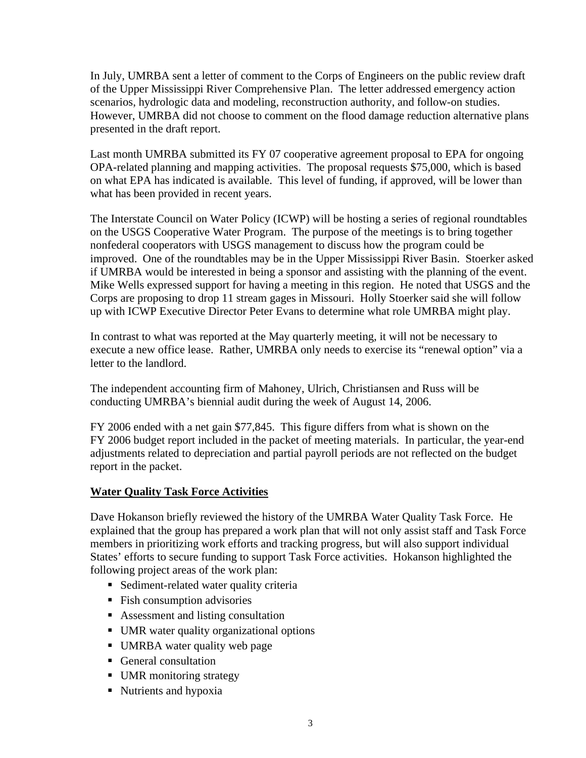In July, UMRBA sent a letter of comment to the Corps of Engineers on the public review draft of the Upper Mississippi River Comprehensive Plan. The letter addressed emergency action scenarios, hydrologic data and modeling, reconstruction authority, and follow-on studies. However, UMRBA did not choose to comment on the flood damage reduction alternative plans presented in the draft report.

Last month UMRBA submitted its FY 07 cooperative agreement proposal to EPA for ongoing OPA-related planning and mapping activities. The proposal requests \$75,000, which is based on what EPA has indicated is available. This level of funding, if approved, will be lower than what has been provided in recent years.

The Interstate Council on Water Policy (ICWP) will be hosting a series of regional roundtables on the USGS Cooperative Water Program. The purpose of the meetings is to bring together nonfederal cooperators with USGS management to discuss how the program could be improved. One of the roundtables may be in the Upper Mississippi River Basin. Stoerker asked if UMRBA would be interested in being a sponsor and assisting with the planning of the event. Mike Wells expressed support for having a meeting in this region. He noted that USGS and the Corps are proposing to drop 11 stream gages in Missouri. Holly Stoerker said she will follow up with ICWP Executive Director Peter Evans to determine what role UMRBA might play.

In contrast to what was reported at the May quarterly meeting, it will not be necessary to execute a new office lease. Rather, UMRBA only needs to exercise its "renewal option" via a letter to the landlord.

The independent accounting firm of Mahoney, Ulrich, Christiansen and Russ will be conducting UMRBA's biennial audit during the week of August 14, 2006.

FY 2006 ended with a net gain \$77,845. This figure differs from what is shown on the FY 2006 budget report included in the packet of meeting materials. In particular, the year-end adjustments related to depreciation and partial payroll periods are not reflected on the budget report in the packet.

## **Water Quality Task Force Activities**

Dave Hokanson briefly reviewed the history of the UMRBA Water Quality Task Force. He explained that the group has prepared a work plan that will not only assist staff and Task Force members in prioritizing work efforts and tracking progress, but will also support individual States' efforts to secure funding to support Task Force activities. Hokanson highlighted the following project areas of the work plan:

- Sediment-related water quality criteria
- **Fish consumption advisories**
- **Assessment and listing consultation**
- UMR water quality organizational options
- UMRBA water quality web page
- General consultation
- UMR monitoring strategy
- Nutrients and hypoxia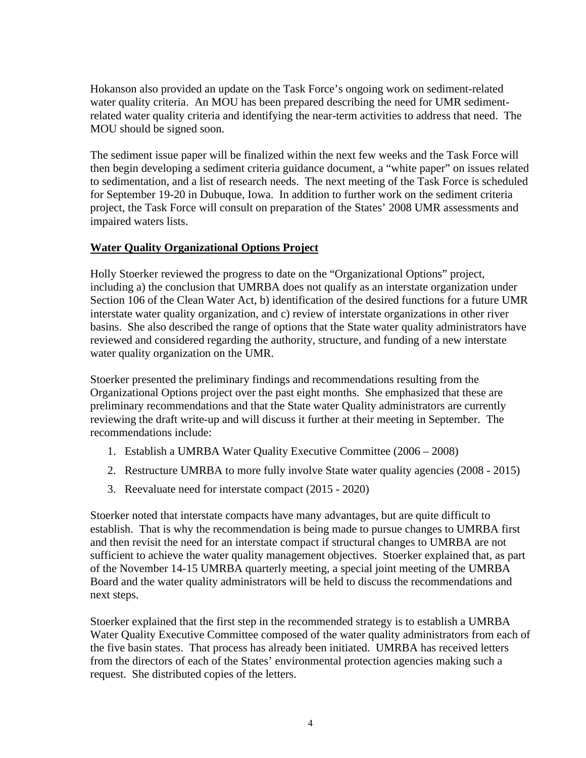Hokanson also provided an update on the Task Force's ongoing work on sediment-related water quality criteria. An MOU has been prepared describing the need for UMR sedimentrelated water quality criteria and identifying the near-term activities to address that need. The MOU should be signed soon.

The sediment issue paper will be finalized within the next few weeks and the Task Force will then begin developing a sediment criteria guidance document, a "white paper" on issues related to sedimentation, and a list of research needs. The next meeting of the Task Force is scheduled for September 19-20 in Dubuque, Iowa. In addition to further work on the sediment criteria project, the Task Force will consult on preparation of the States' 2008 UMR assessments and impaired waters lists.

## **Water Quality Organizational Options Project**

Holly Stoerker reviewed the progress to date on the "Organizational Options" project, including a) the conclusion that UMRBA does not qualify as an interstate organization under Section 106 of the Clean Water Act, b) identification of the desired functions for a future UMR interstate water quality organization, and c) review of interstate organizations in other river basins. She also described the range of options that the State water quality administrators have reviewed and considered regarding the authority, structure, and funding of a new interstate water quality organization on the UMR.

Stoerker presented the preliminary findings and recommendations resulting from the Organizational Options project over the past eight months. She emphasized that these are preliminary recommendations and that the State water Quality administrators are currently reviewing the draft write-up and will discuss it further at their meeting in September. The recommendations include:

- 1. Establish a UMRBA Water Quality Executive Committee (2006 2008)
- 2. Restructure UMRBA to more fully involve State water quality agencies (2008 2015)
- 3. Reevaluate need for interstate compact (2015 2020)

Stoerker noted that interstate compacts have many advantages, but are quite difficult to establish. That is why the recommendation is being made to pursue changes to UMRBA first and then revisit the need for an interstate compact if structural changes to UMRBA are not sufficient to achieve the water quality management objectives. Stoerker explained that, as part of the November 14-15 UMRBA quarterly meeting, a special joint meeting of the UMRBA Board and the water quality administrators will be held to discuss the recommendations and next steps.

Stoerker explained that the first step in the recommended strategy is to establish a UMRBA Water Quality Executive Committee composed of the water quality administrators from each of the five basin states. That process has already been initiated. UMRBA has received letters from the directors of each of the States' environmental protection agencies making such a request. She distributed copies of the letters.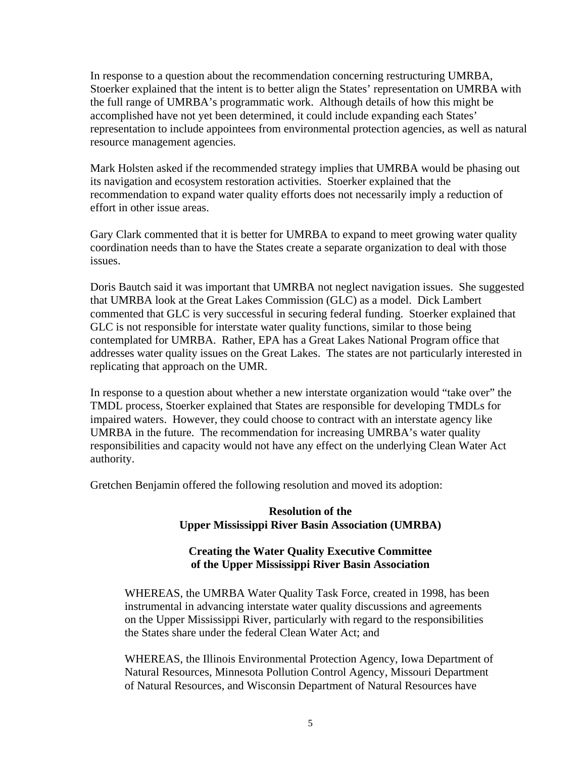In response to a question about the recommendation concerning restructuring UMRBA, Stoerker explained that the intent is to better align the States' representation on UMRBA with the full range of UMRBA's programmatic work. Although details of how this might be accomplished have not yet been determined, it could include expanding each States' representation to include appointees from environmental protection agencies, as well as natural resource management agencies.

Mark Holsten asked if the recommended strategy implies that UMRBA would be phasing out its navigation and ecosystem restoration activities. Stoerker explained that the recommendation to expand water quality efforts does not necessarily imply a reduction of effort in other issue areas.

Gary Clark commented that it is better for UMRBA to expand to meet growing water quality coordination needs than to have the States create a separate organization to deal with those issues.

Doris Bautch said it was important that UMRBA not neglect navigation issues. She suggested that UMRBA look at the Great Lakes Commission (GLC) as a model. Dick Lambert commented that GLC is very successful in securing federal funding. Stoerker explained that GLC is not responsible for interstate water quality functions, similar to those being contemplated for UMRBA. Rather, EPA has a Great Lakes National Program office that addresses water quality issues on the Great Lakes. The states are not particularly interested in replicating that approach on the UMR.

In response to a question about whether a new interstate organization would "take over" the TMDL process, Stoerker explained that States are responsible for developing TMDLs for impaired waters. However, they could choose to contract with an interstate agency like UMRBA in the future. The recommendation for increasing UMRBA's water quality responsibilities and capacity would not have any effect on the underlying Clean Water Act authority.

Gretchen Benjamin offered the following resolution and moved its adoption:

#### **Resolution of the Upper Mississippi River Basin Association (UMRBA)**

## **Creating the Water Quality Executive Committee of the Upper Mississippi River Basin Association**

WHEREAS, the UMRBA Water Quality Task Force, created in 1998, has been instrumental in advancing interstate water quality discussions and agreements on the Upper Mississippi River, particularly with regard to the responsibilities the States share under the federal Clean Water Act; and

WHEREAS, the Illinois Environmental Protection Agency, Iowa Department of Natural Resources, Minnesota Pollution Control Agency, Missouri Department of Natural Resources, and Wisconsin Department of Natural Resources have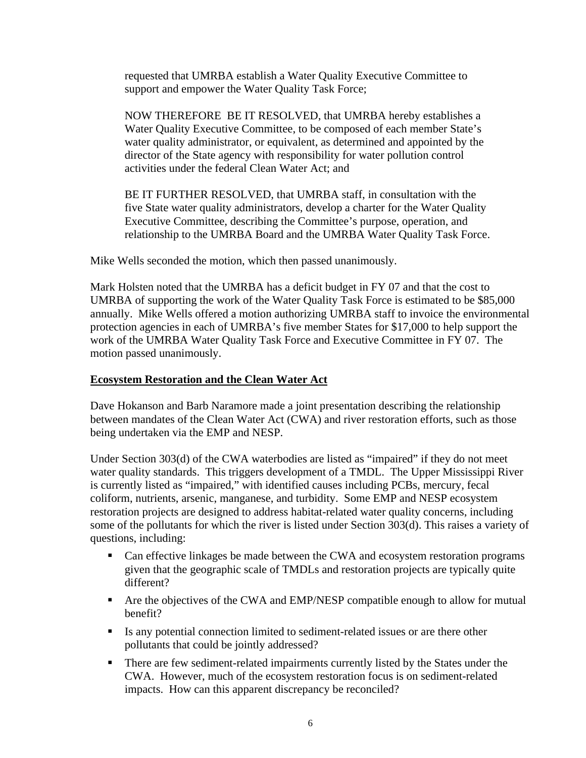requested that UMRBA establish a Water Quality Executive Committee to support and empower the Water Quality Task Force;

NOW THEREFORE BE IT RESOLVED, that UMRBA hereby establishes a Water Quality Executive Committee, to be composed of each member State's water quality administrator, or equivalent, as determined and appointed by the director of the State agency with responsibility for water pollution control activities under the federal Clean Water Act; and

BE IT FURTHER RESOLVED, that UMRBA staff, in consultation with the five State water quality administrators, develop a charter for the Water Quality Executive Committee, describing the Committee's purpose, operation, and relationship to the UMRBA Board and the UMRBA Water Quality Task Force.

Mike Wells seconded the motion, which then passed unanimously.

Mark Holsten noted that the UMRBA has a deficit budget in FY 07 and that the cost to UMRBA of supporting the work of the Water Quality Task Force is estimated to be \$85,000 annually. Mike Wells offered a motion authorizing UMRBA staff to invoice the environmental protection agencies in each of UMRBA's five member States for \$17,000 to help support the work of the UMRBA Water Quality Task Force and Executive Committee in FY 07. The motion passed unanimously.

### **Ecosystem Restoration and the Clean Water Act**

Dave Hokanson and Barb Naramore made a joint presentation describing the relationship between mandates of the Clean Water Act (CWA) and river restoration efforts, such as those being undertaken via the EMP and NESP.

Under Section 303(d) of the CWA waterbodies are listed as "impaired" if they do not meet water quality standards. This triggers development of a TMDL. The Upper Mississippi River is currently listed as "impaired," with identified causes including PCBs, mercury, fecal coliform, nutrients, arsenic, manganese, and turbidity. Some EMP and NESP ecosystem restoration projects are designed to address habitat-related water quality concerns, including some of the pollutants for which the river is listed under Section 303(d). This raises a variety of questions, including:

- Can effective linkages be made between the CWA and ecosystem restoration programs given that the geographic scale of TMDLs and restoration projects are typically quite different?
- Are the objectives of the CWA and EMP/NESP compatible enough to allow for mutual benefit?
- Is any potential connection limited to sediment-related issues or are there other pollutants that could be jointly addressed?
- **There are few sediment-related impairments currently listed by the States under the** CWA. However, much of the ecosystem restoration focus is on sediment-related impacts. How can this apparent discrepancy be reconciled?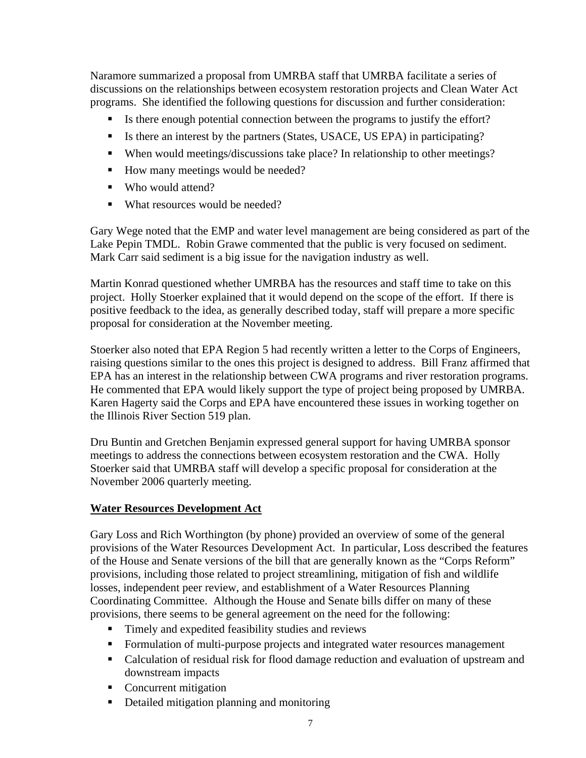Naramore summarized a proposal from UMRBA staff that UMRBA facilitate a series of discussions on the relationships between ecosystem restoration projects and Clean Water Act programs. She identified the following questions for discussion and further consideration:

- Is there enough potential connection between the programs to justify the effort?
- Is there an interest by the partners (States, USACE, US EPA) in participating?
- When would meetings/discussions take place? In relationship to other meetings?
- How many meetings would be needed?
- Who would attend?
- What resources would be needed?

Gary Wege noted that the EMP and water level management are being considered as part of the Lake Pepin TMDL. Robin Grawe commented that the public is very focused on sediment. Mark Carr said sediment is a big issue for the navigation industry as well.

Martin Konrad questioned whether UMRBA has the resources and staff time to take on this project. Holly Stoerker explained that it would depend on the scope of the effort. If there is positive feedback to the idea, as generally described today, staff will prepare a more specific proposal for consideration at the November meeting.

Stoerker also noted that EPA Region 5 had recently written a letter to the Corps of Engineers, raising questions similar to the ones this project is designed to address. Bill Franz affirmed that EPA has an interest in the relationship between CWA programs and river restoration programs. He commented that EPA would likely support the type of project being proposed by UMRBA. Karen Hagerty said the Corps and EPA have encountered these issues in working together on the Illinois River Section 519 plan.

Dru Buntin and Gretchen Benjamin expressed general support for having UMRBA sponsor meetings to address the connections between ecosystem restoration and the CWA. Holly Stoerker said that UMRBA staff will develop a specific proposal for consideration at the November 2006 quarterly meeting.

## **Water Resources Development Act**

Gary Loss and Rich Worthington (by phone) provided an overview of some of the general provisions of the Water Resources Development Act. In particular, Loss described the features of the House and Senate versions of the bill that are generally known as the "Corps Reform" provisions, including those related to project streamlining, mitigation of fish and wildlife losses, independent peer review, and establishment of a Water Resources Planning Coordinating Committee. Although the House and Senate bills differ on many of these provisions, there seems to be general agreement on the need for the following:

- **Timely and expedited feasibility studies and reviews**
- Formulation of multi-purpose projects and integrated water resources management
- Calculation of residual risk for flood damage reduction and evaluation of upstream and downstream impacts
- Concurrent mitigation
- Detailed mitigation planning and monitoring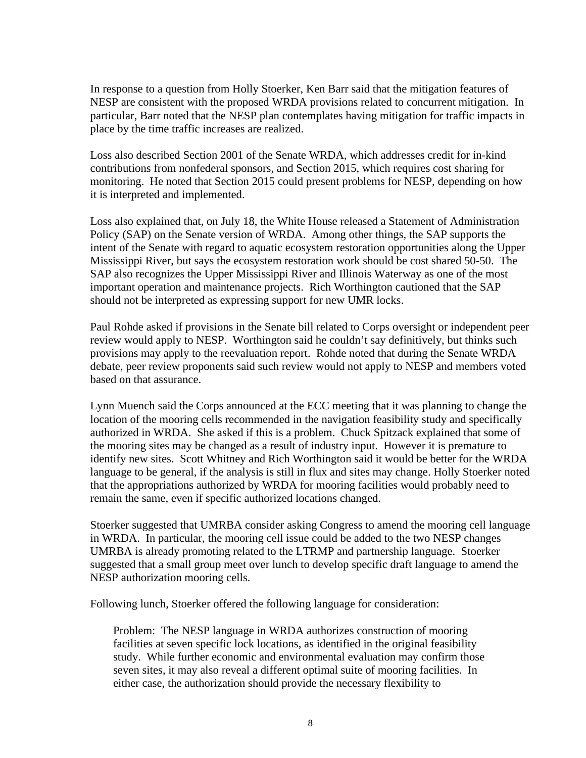In response to a question from Holly Stoerker, Ken Barr said that the mitigation features of NESP are consistent with the proposed WRDA provisions related to concurrent mitigation. In particular, Barr noted that the NESP plan contemplates having mitigation for traffic impacts in place by the time traffic increases are realized.

Loss also described Section 2001 of the Senate WRDA, which addresses credit for in-kind contributions from nonfederal sponsors, and Section 2015, which requires cost sharing for monitoring. He noted that Section 2015 could present problems for NESP, depending on how it is interpreted and implemented.

Loss also explained that, on July 18, the White House released a Statement of Administration Policy (SAP) on the Senate version of WRDA. Among other things, the SAP supports the intent of the Senate with regard to aquatic ecosystem restoration opportunities along the Upper Mississippi River, but says the ecosystem restoration work should be cost shared 50-50. The SAP also recognizes the Upper Mississippi River and Illinois Waterway as one of the most important operation and maintenance projects. Rich Worthington cautioned that the SAP should not be interpreted as expressing support for new UMR locks.

Paul Rohde asked if provisions in the Senate bill related to Corps oversight or independent peer review would apply to NESP. Worthington said he couldn't say definitively, but thinks such provisions may apply to the reevaluation report. Rohde noted that during the Senate WRDA debate, peer review proponents said such review would not apply to NESP and members voted based on that assurance.

Lynn Muench said the Corps announced at the ECC meeting that it was planning to change the location of the mooring cells recommended in the navigation feasibility study and specifically authorized in WRDA. She asked if this is a problem. Chuck Spitzack explained that some of the mooring sites may be changed as a result of industry input. However it is premature to identify new sites. Scott Whitney and Rich Worthington said it would be better for the WRDA language to be general, if the analysis is still in flux and sites may change. Holly Stoerker noted that the appropriations authorized by WRDA for mooring facilities would probably need to remain the same, even if specific authorized locations changed.

Stoerker suggested that UMRBA consider asking Congress to amend the mooring cell language in WRDA. In particular, the mooring cell issue could be added to the two NESP changes UMRBA is already promoting related to the LTRMP and partnership language. Stoerker suggested that a small group meet over lunch to develop specific draft language to amend the NESP authorization mooring cells.

Following lunch, Stoerker offered the following language for consideration:

Problem: The NESP language in WRDA authorizes construction of mooring facilities at seven specific lock locations, as identified in the original feasibility study. While further economic and environmental evaluation may confirm those seven sites, it may also reveal a different optimal suite of mooring facilities. In either case, the authorization should provide the necessary flexibility to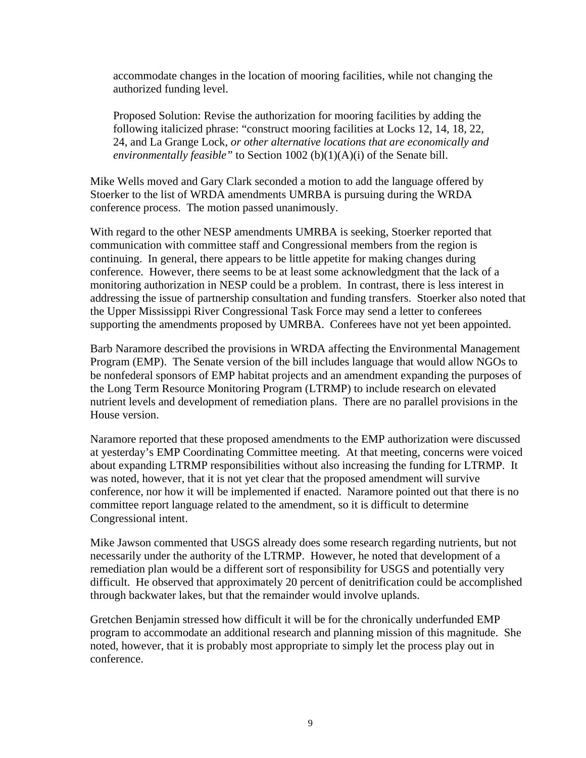accommodate changes in the location of mooring facilities, while not changing the authorized funding level.

Proposed Solution: Revise the authorization for mooring facilities by adding the following italicized phrase: "construct mooring facilities at Locks 12, 14, 18, 22, 24, and La Grange Lock, *or other alternative locations that are economically and environmentally feasible"* to Section 1002 (b)(1)(A)(i) of the Senate bill.

Mike Wells moved and Gary Clark seconded a motion to add the language offered by Stoerker to the list of WRDA amendments UMRBA is pursuing during the WRDA conference process. The motion passed unanimously.

With regard to the other NESP amendments UMRBA is seeking, Stoerker reported that communication with committee staff and Congressional members from the region is continuing. In general, there appears to be little appetite for making changes during conference. However, there seems to be at least some acknowledgment that the lack of a monitoring authorization in NESP could be a problem. In contrast, there is less interest in addressing the issue of partnership consultation and funding transfers. Stoerker also noted that the Upper Mississippi River Congressional Task Force may send a letter to conferees supporting the amendments proposed by UMRBA. Conferees have not yet been appointed.

Barb Naramore described the provisions in WRDA affecting the Environmental Management Program (EMP). The Senate version of the bill includes language that would allow NGOs to be nonfederal sponsors of EMP habitat projects and an amendment expanding the purposes of the Long Term Resource Monitoring Program (LTRMP) to include research on elevated nutrient levels and development of remediation plans. There are no parallel provisions in the House version.

Naramore reported that these proposed amendments to the EMP authorization were discussed at yesterday's EMP Coordinating Committee meeting. At that meeting, concerns were voiced about expanding LTRMP responsibilities without also increasing the funding for LTRMP. It was noted, however, that it is not yet clear that the proposed amendment will survive conference, nor how it will be implemented if enacted. Naramore pointed out that there is no committee report language related to the amendment, so it is difficult to determine Congressional intent.

Mike Jawson commented that USGS already does some research regarding nutrients, but not necessarily under the authority of the LTRMP. However, he noted that development of a remediation plan would be a different sort of responsibility for USGS and potentially very difficult. He observed that approximately 20 percent of denitrification could be accomplished through backwater lakes, but that the remainder would involve uplands.

Gretchen Benjamin stressed how difficult it will be for the chronically underfunded EMP program to accommodate an additional research and planning mission of this magnitude. She noted, however, that it is probably most appropriate to simply let the process play out in conference.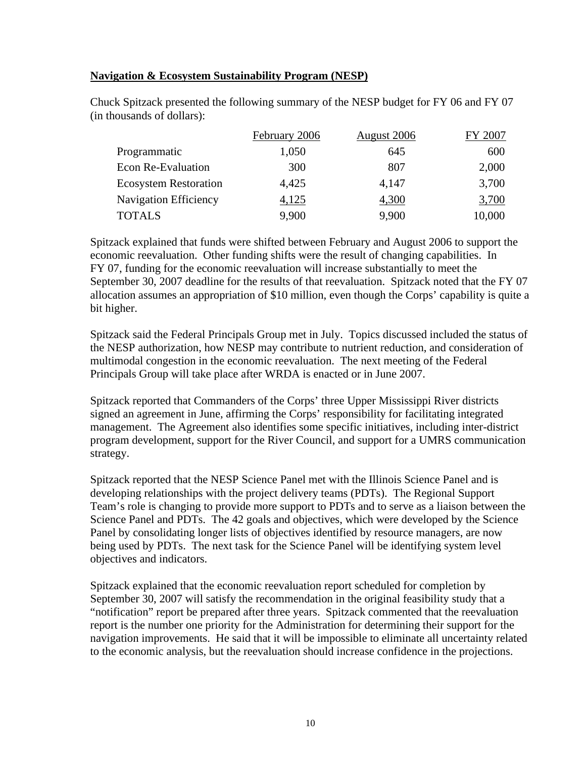### **Navigation & Ecosystem Sustainability Program (NESP)**

|                              | February 2006 | <b>August 2006</b> | FY 2007 |
|------------------------------|---------------|--------------------|---------|
| Programmatic                 | 1,050         | 645                | 600     |
| <b>Econ Re-Evaluation</b>    | 300           | 807                | 2,000   |
| <b>Ecosystem Restoration</b> | 4,425         | 4,147              | 3,700   |
| <b>Navigation Efficiency</b> | 4,125         | 4,300              | 3,700   |
| <b>TOTALS</b>                | 9,900         | 9,900              | 10,000  |

Chuck Spitzack presented the following summary of the NESP budget for FY 06 and FY 07 (in thousands of dollars):

Spitzack explained that funds were shifted between February and August 2006 to support the economic reevaluation. Other funding shifts were the result of changing capabilities. In FY 07, funding for the economic reevaluation will increase substantially to meet the September 30, 2007 deadline for the results of that reevaluation. Spitzack noted that the FY 07 allocation assumes an appropriation of \$10 million, even though the Corps' capability is quite a bit higher.

Spitzack said the Federal Principals Group met in July. Topics discussed included the status of the NESP authorization, how NESP may contribute to nutrient reduction, and consideration of multimodal congestion in the economic reevaluation. The next meeting of the Federal Principals Group will take place after WRDA is enacted or in June 2007.

Spitzack reported that Commanders of the Corps' three Upper Mississippi River districts signed an agreement in June, affirming the Corps' responsibility for facilitating integrated management. The Agreement also identifies some specific initiatives, including inter-district program development, support for the River Council, and support for a UMRS communication strategy.

Spitzack reported that the NESP Science Panel met with the Illinois Science Panel and is developing relationships with the project delivery teams (PDTs). The Regional Support Team's role is changing to provide more support to PDTs and to serve as a liaison between the Science Panel and PDTs. The 42 goals and objectives, which were developed by the Science Panel by consolidating longer lists of objectives identified by resource managers, are now being used by PDTs. The next task for the Science Panel will be identifying system level objectives and indicators.

Spitzack explained that the economic reevaluation report scheduled for completion by September 30, 2007 will satisfy the recommendation in the original feasibility study that a "notification" report be prepared after three years. Spitzack commented that the reevaluation report is the number one priority for the Administration for determining their support for the navigation improvements. He said that it will be impossible to eliminate all uncertainty related to the economic analysis, but the reevaluation should increase confidence in the projections.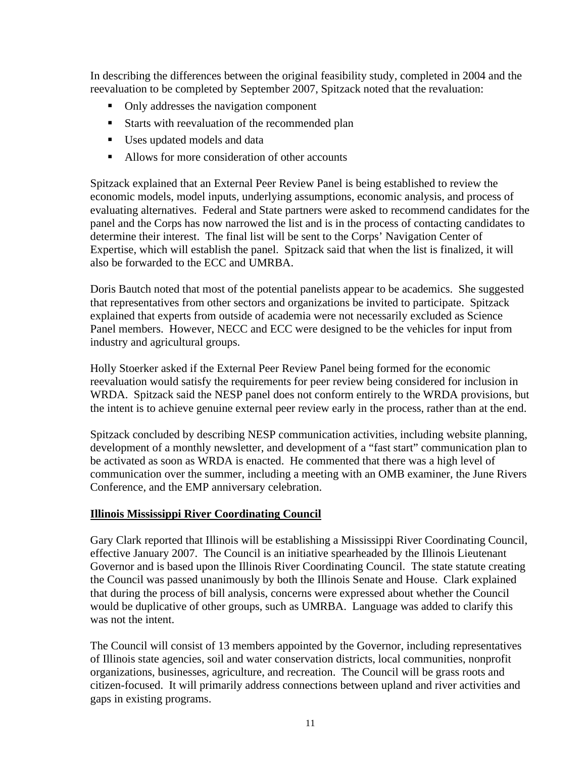In describing the differences between the original feasibility study, completed in 2004 and the reevaluation to be completed by September 2007, Spitzack noted that the revaluation:

- Only addresses the navigation component
- Starts with reevaluation of the recommended plan
- Uses updated models and data
- Allows for more consideration of other accounts

Spitzack explained that an External Peer Review Panel is being established to review the economic models, model inputs, underlying assumptions, economic analysis, and process of evaluating alternatives. Federal and State partners were asked to recommend candidates for the panel and the Corps has now narrowed the list and is in the process of contacting candidates to determine their interest. The final list will be sent to the Corps' Navigation Center of Expertise, which will establish the panel. Spitzack said that when the list is finalized, it will also be forwarded to the ECC and UMRBA.

Doris Bautch noted that most of the potential panelists appear to be academics. She suggested that representatives from other sectors and organizations be invited to participate. Spitzack explained that experts from outside of academia were not necessarily excluded as Science Panel members. However, NECC and ECC were designed to be the vehicles for input from industry and agricultural groups.

Holly Stoerker asked if the External Peer Review Panel being formed for the economic reevaluation would satisfy the requirements for peer review being considered for inclusion in WRDA. Spitzack said the NESP panel does not conform entirely to the WRDA provisions, but the intent is to achieve genuine external peer review early in the process, rather than at the end.

Spitzack concluded by describing NESP communication activities, including website planning, development of a monthly newsletter, and development of a "fast start" communication plan to be activated as soon as WRDA is enacted. He commented that there was a high level of communication over the summer, including a meeting with an OMB examiner, the June Rivers Conference, and the EMP anniversary celebration.

## **Illinois Mississippi River Coordinating Council**

Gary Clark reported that Illinois will be establishing a Mississippi River Coordinating Council, effective January 2007. The Council is an initiative spearheaded by the Illinois Lieutenant Governor and is based upon the Illinois River Coordinating Council. The state statute creating the Council was passed unanimously by both the Illinois Senate and House. Clark explained that during the process of bill analysis, concerns were expressed about whether the Council would be duplicative of other groups, such as UMRBA. Language was added to clarify this was not the intent.

The Council will consist of 13 members appointed by the Governor, including representatives of Illinois state agencies, soil and water conservation districts, local communities, nonprofit organizations, businesses, agriculture, and recreation. The Council will be grass roots and citizen-focused. It will primarily address connections between upland and river activities and gaps in existing programs.